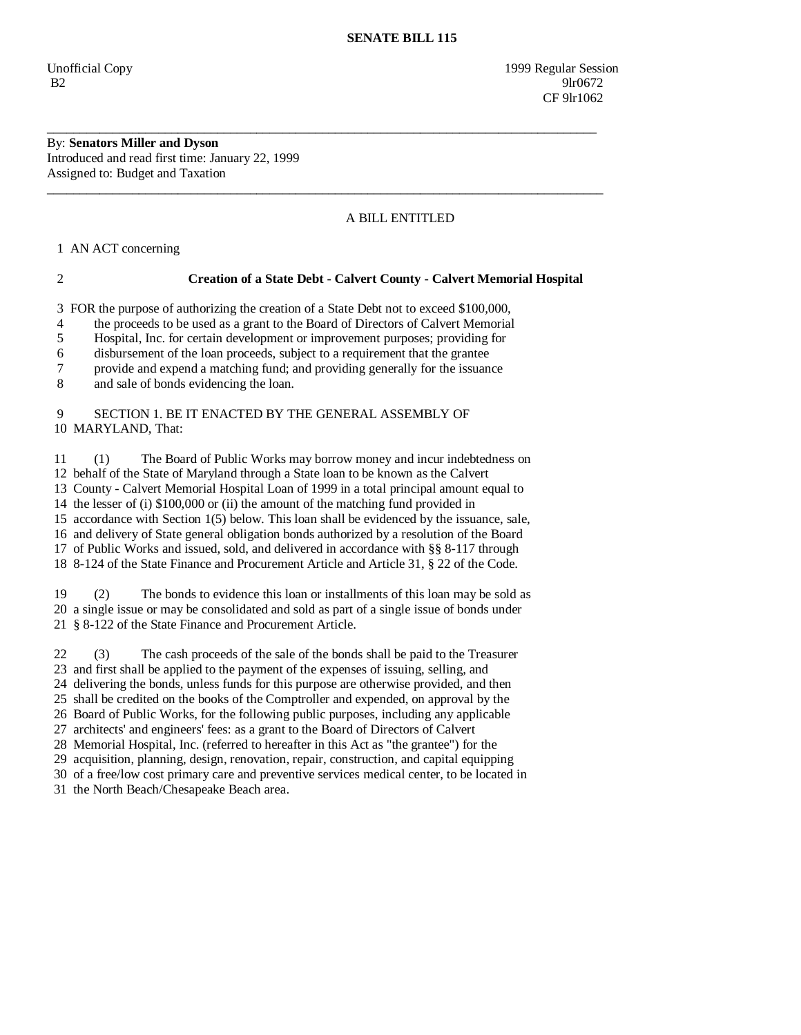Unofficial Copy 1999 Regular Session B2 9lr0672 **CF** 9lr1062

By: **Senators Miller and Dyson**  Introduced and read first time: January 22, 1999 Assigned to: Budget and Taxation

## A BILL ENTITLED

1 AN ACT concerning

## 2 **Creation of a State Debt - Calvert County - Calvert Memorial Hospital**

3 FOR the purpose of authorizing the creation of a State Debt not to exceed \$100,000,

\_\_\_\_\_\_\_\_\_\_\_\_\_\_\_\_\_\_\_\_\_\_\_\_\_\_\_\_\_\_\_\_\_\_\_\_\_\_\_\_\_\_\_\_\_\_\_\_\_\_\_\_\_\_\_\_\_\_\_\_\_\_\_\_\_\_\_\_\_\_\_\_\_\_\_\_\_\_\_\_\_\_\_\_

\_\_\_\_\_\_\_\_\_\_\_\_\_\_\_\_\_\_\_\_\_\_\_\_\_\_\_\_\_\_\_\_\_\_\_\_\_\_\_\_\_\_\_\_\_\_\_\_\_\_\_\_\_\_\_\_\_\_\_\_\_\_\_\_\_\_\_\_\_\_\_\_\_\_\_\_\_\_\_\_\_\_\_\_\_

4 the proceeds to be used as a grant to the Board of Directors of Calvert Memorial

5 Hospital, Inc. for certain development or improvement purposes; providing for

6 disbursement of the loan proceeds, subject to a requirement that the grantee

7 provide and expend a matching fund; and providing generally for the issuance

8 and sale of bonds evidencing the loan.

## 9 SECTION 1. BE IT ENACTED BY THE GENERAL ASSEMBLY OF 10 MARYLAND, That:

 11 (1) The Board of Public Works may borrow money and incur indebtedness on 12 behalf of the State of Maryland through a State loan to be known as the Calvert 13 County - Calvert Memorial Hospital Loan of 1999 in a total principal amount equal to 14 the lesser of (i) \$100,000 or (ii) the amount of the matching fund provided in 15 accordance with Section 1(5) below. This loan shall be evidenced by the issuance, sale, 16 and delivery of State general obligation bonds authorized by a resolution of the Board 17 of Public Works and issued, sold, and delivered in accordance with §§ 8-117 through 18 8-124 of the State Finance and Procurement Article and Article 31, § 22 of the Code.

 19 (2) The bonds to evidence this loan or installments of this loan may be sold as 20 a single issue or may be consolidated and sold as part of a single issue of bonds under 21 § 8-122 of the State Finance and Procurement Article.

 22 (3) The cash proceeds of the sale of the bonds shall be paid to the Treasurer 23 and first shall be applied to the payment of the expenses of issuing, selling, and 24 delivering the bonds, unless funds for this purpose are otherwise provided, and then

25 shall be credited on the books of the Comptroller and expended, on approval by the

26 Board of Public Works, for the following public purposes, including any applicable

27 architects' and engineers' fees: as a grant to the Board of Directors of Calvert

28 Memorial Hospital, Inc. (referred to hereafter in this Act as "the grantee") for the

29 acquisition, planning, design, renovation, repair, construction, and capital equipping

30 of a free/low cost primary care and preventive services medical center, to be located in

31 the North Beach/Chesapeake Beach area.